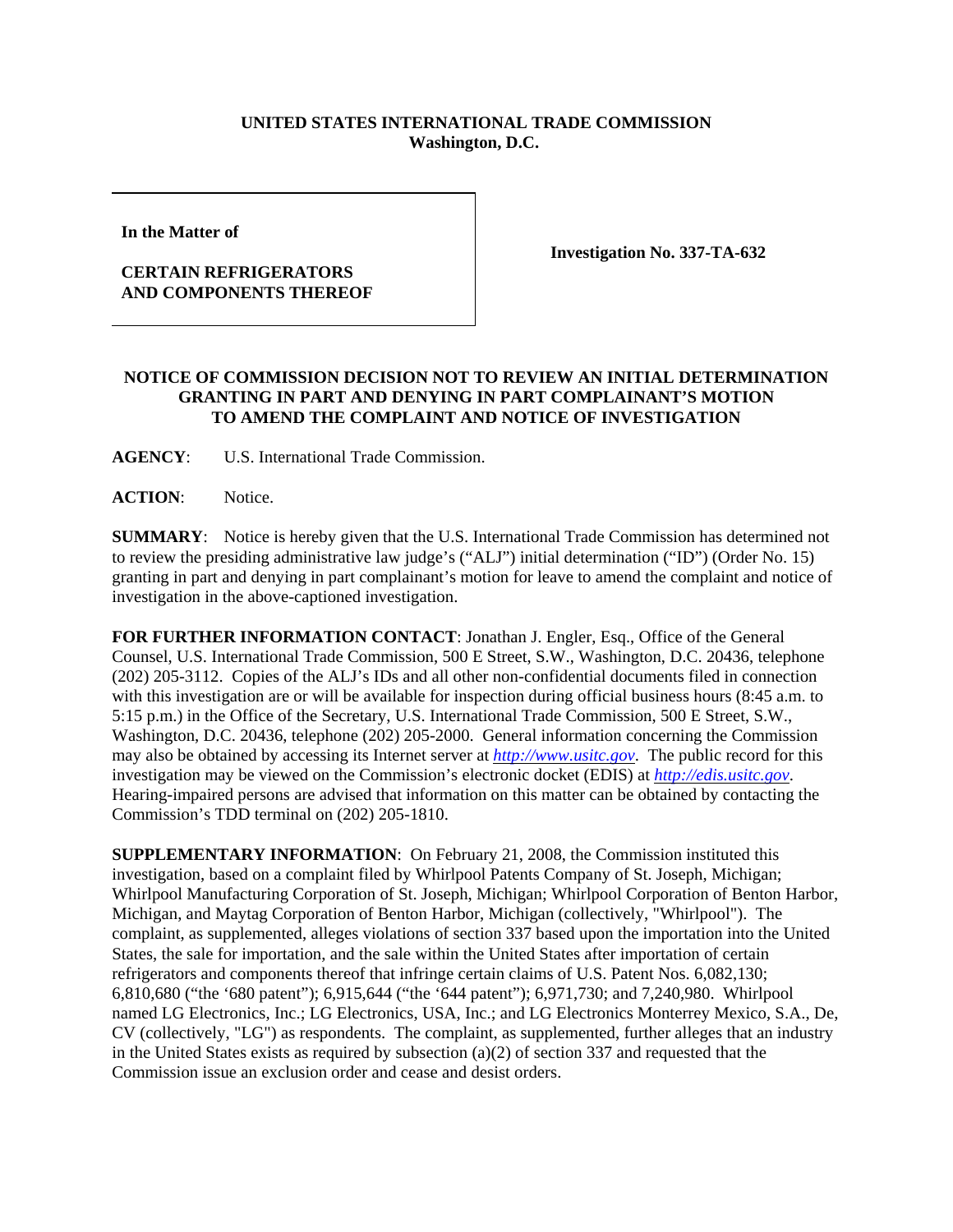## **UNITED STATES INTERNATIONAL TRADE COMMISSION Washington, D.C.**

**In the Matter of** 

## **CERTAIN REFRIGERATORS AND COMPONENTS THEREOF**

**Investigation No. 337-TA-632**

## **NOTICE OF COMMISSION DECISION NOT TO REVIEW AN INITIAL DETERMINATION GRANTING IN PART AND DENYING IN PART COMPLAINANT'S MOTION TO AMEND THE COMPLAINT AND NOTICE OF INVESTIGATION**

**AGENCY**: U.S. International Trade Commission.

**ACTION**: Notice.

**SUMMARY**: Notice is hereby given that the U.S. International Trade Commission has determined not to review the presiding administrative law judge's ("ALJ") initial determination ("ID") (Order No. 15) granting in part and denying in part complainant's motion for leave to amend the complaint and notice of investigation in the above-captioned investigation.

**FOR FURTHER INFORMATION CONTACT**: Jonathan J. Engler, Esq., Office of the General Counsel, U.S. International Trade Commission, 500 E Street, S.W., Washington, D.C. 20436, telephone (202) 205-3112. Copies of the ALJ's IDs and all other non-confidential documents filed in connection with this investigation are or will be available for inspection during official business hours (8:45 a.m. to 5:15 p.m.) in the Office of the Secretary, U.S. International Trade Commission, 500 E Street, S.W., Washington, D.C. 20436, telephone (202) 205-2000. General information concerning the Commission may also be obtained by accessing its Internet server at *http://www.usitc.gov*. The public record for this investigation may be viewed on the Commission's electronic docket (EDIS) at *http://edis.usitc.gov*. Hearing-impaired persons are advised that information on this matter can be obtained by contacting the Commission's TDD terminal on (202) 205-1810.

**SUPPLEMENTARY INFORMATION**: On February 21, 2008, the Commission instituted this investigation, based on a complaint filed by Whirlpool Patents Company of St. Joseph, Michigan; Whirlpool Manufacturing Corporation of St. Joseph, Michigan; Whirlpool Corporation of Benton Harbor, Michigan, and Maytag Corporation of Benton Harbor, Michigan (collectively, "Whirlpool"). The complaint, as supplemented, alleges violations of section 337 based upon the importation into the United States, the sale for importation, and the sale within the United States after importation of certain refrigerators and components thereof that infringe certain claims of U.S. Patent Nos. 6,082,130; 6,810,680 ("the '680 patent"); 6,915,644 ("the '644 patent"); 6,971,730; and 7,240,980. Whirlpool named LG Electronics, Inc.; LG Electronics, USA, Inc.; and LG Electronics Monterrey Mexico, S.A., De, CV (collectively, "LG") as respondents. The complaint, as supplemented, further alleges that an industry in the United States exists as required by subsection (a)(2) of section 337 and requested that the Commission issue an exclusion order and cease and desist orders.